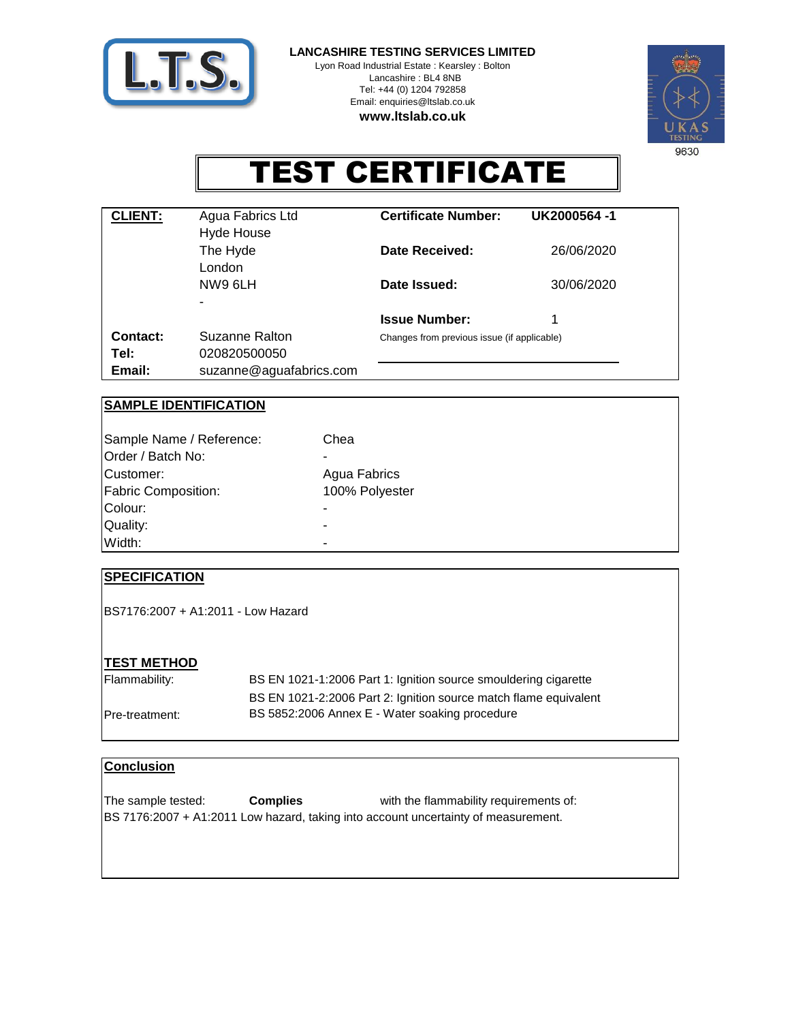

**LANCASHIRE TESTING SERVICES LIMITED**

Lyon Road Industrial Estate : Kearsley : Bolton Lancashire : BL4 8NB Tel: +44 (0) 1204 792858 Email: enquiries@ltslab.co.uk **www.ltslab.co.uk**



# TEST CERTIFICATE

| <b>CLIENT:</b>   | Agua Fabrics Ltd<br>Hyde House | <b>Certificate Number:</b>                  | UK2000564-1 |  |
|------------------|--------------------------------|---------------------------------------------|-------------|--|
|                  | The Hyde<br>London             | Date Received:                              | 26/06/2020  |  |
|                  | NW9 6LH                        | Date Issued:                                | 30/06/2020  |  |
|                  |                                | <b>Issue Number:</b>                        | 1           |  |
| Contact:<br>Tel: | Suzanne Ralton<br>020820500050 | Changes from previous issue (if applicable) |             |  |
| Email:           | suzanne@aguafabrics.com        |                                             |             |  |

# **SAMPLE IDENTIFICATION**

| Sample Name / Reference:<br>Order / Batch No: | Chea<br>$\blacksquare$ |
|-----------------------------------------------|------------------------|
| <b>ICustomer:</b>                             | Agua Fabrics           |
| <b>Fabric Composition:</b>                    | 100% Polyester         |
| Colour:                                       |                        |
| Quality:                                      | -                      |
| Width:                                        | $\blacksquare$         |

# **SPECIFICATION**

BS7176:2007 + A1:2011 - Low Hazard

#### **TEST METHOD**

BS EN 1021-1:2006 Part 1: Ignition source smouldering cigarette Pre-treatment: Flammability: BS EN 1021-2:2006 Part 2: Ignition source match flame equivalent BS 5852:2006 Annex E - Water soaking procedure

#### **Conclusion**

with the flammability requirements of: The sample tested: BS 7176:2007 + A1:2011 Low hazard, taking into account uncertainty of measurement. **Complies**